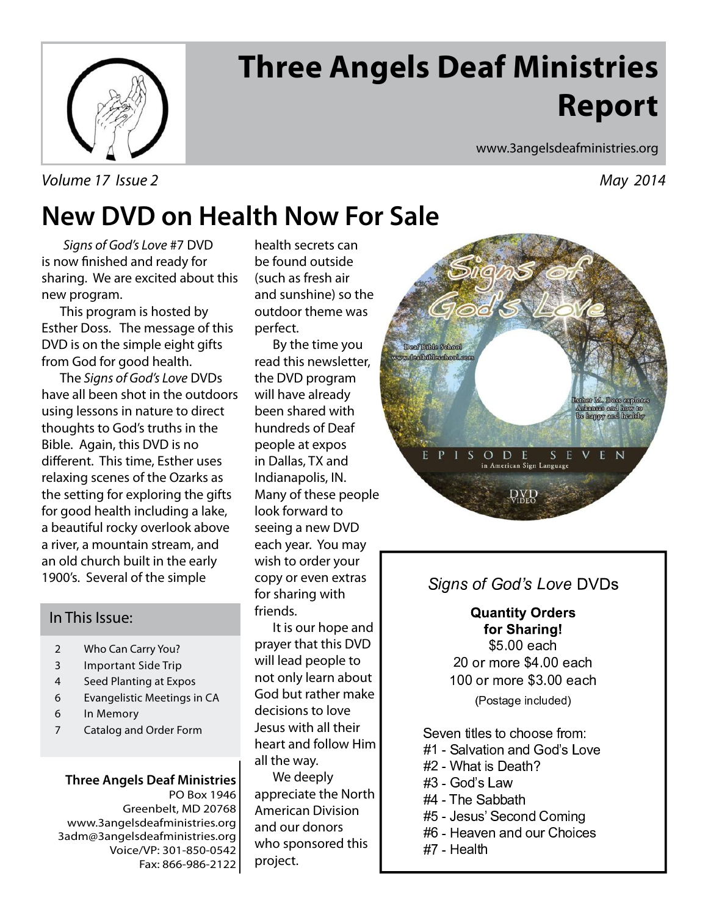

# **Three Angels Deaf Ministries Report**

Volume 17 Issue 2 May 2014

www.3angelsdeafministries.org

## **New DVD on Health Now For Sale**

Signs of God's Love #7 DVD is now finished and ready for sharing. We are excited about this new program.

 This program is hosted by Esther Doss. The message of this DVD is on the simple eight gifts from God for good health.

 The Signs of God's Love DVDs have all been shot in the outdoors using lessons in nature to direct thoughts to God's truths in the Bible. Again, this DVD is no different. This time, Esther uses relaxing scenes of the Ozarks as the setting for exploring the gifts for good health including a lake, a beautiful rocky overlook above a river, a mountain stream, and an old church built in the early 1900's. Several of the simple

### In This Issue:

- 2 Who Can Carry You?
- 3 Important Side Trip
- 4 Seed Planting at Expos
- 6 Evangelistic Meetings in CA
- 6 In Memory
- 7 Catalog and Order Form

### **Three Angels Deaf Ministries**

PO Box 1946 Greenbelt, MD 20768 www.3angelsdeafministries.org 3adm@3angelsdeafministries.org Voice/VP: 301-850-0542 Fax: 866-986-2122 health secrets can be found outside (such as fresh air and sunshine) so the outdoor theme was perfect.

 By the time you read this newsletter, the DVD program will have already been shared with hundreds of Deaf people at expos in Dallas, TX and Indianapolis, IN. Many of these people look forward to seeing a new DVD each year. You may wish to order your copy or even extras for sharing with friends.

 It is our hope and prayer that this DVD will lead people to not only learn about God but rather make decisions to love Jesus with all their heart and follow Him all the way.

 We deeply appreciate the North American Division and our donors who sponsored this project.



### -

**Quantity Orders** for Sharing! \$5.00 each  $\overline{a}$  . The set of  $\overline{a}$  is the set of  $\overline{a}$  is the set of  $\overline{a}$  is the set of  $\overline{a}$  is the set of  $\overline{a}$  is the set of  $\overline{a}$  is the set of  $\overline{a}$  is the set of  $\overline{a}$  is the set of  $\overline{a}$  is the

(Postage included

 $\pm$  , and the set of the set of the set of the set of the set of the set of the set of the set of the set of the set of the set of the set of the set of the set of the set of the set of the set of the set of the set of t

- <sup>4</sup> <sup>5</sup> <sup>+</sup> 0 , . / <sup>6</sup> <sup>7</sup> <sup>6</sup> 8 1 <sup>9</sup> ,
- <sup>4</sup> <sup>5</sup> : . / 1 ; . <sup>&</sup>lt;
- <sup>4</sup> <sup>5</sup> <sup>7</sup> <sup>6</sup> 8 1 <sup>9</sup> <sup>=</sup>
- <sup>4</sup> <sup>5</sup> <sup>&</sup>gt; <sup>+</sup> ? ? .
- <sup>4</sup> <sup>5</sup> @ <sup>1</sup> <sup>A</sup> <sup>1</sup> <sup>8</sup> <sup>+</sup> <sup>6</sup> <sup>B</sup> / <sup>C</sup>
- <sup>4</sup> <sup>D</sup> <sup>5</sup> <sup>E</sup> , <sup>6</sup> <sup>A</sup> <sup>B</sup> / <sup>1</sup>
- <sup>4</sup> <sup>F</sup> <sup>5</sup> <sup>E</sup> 0 .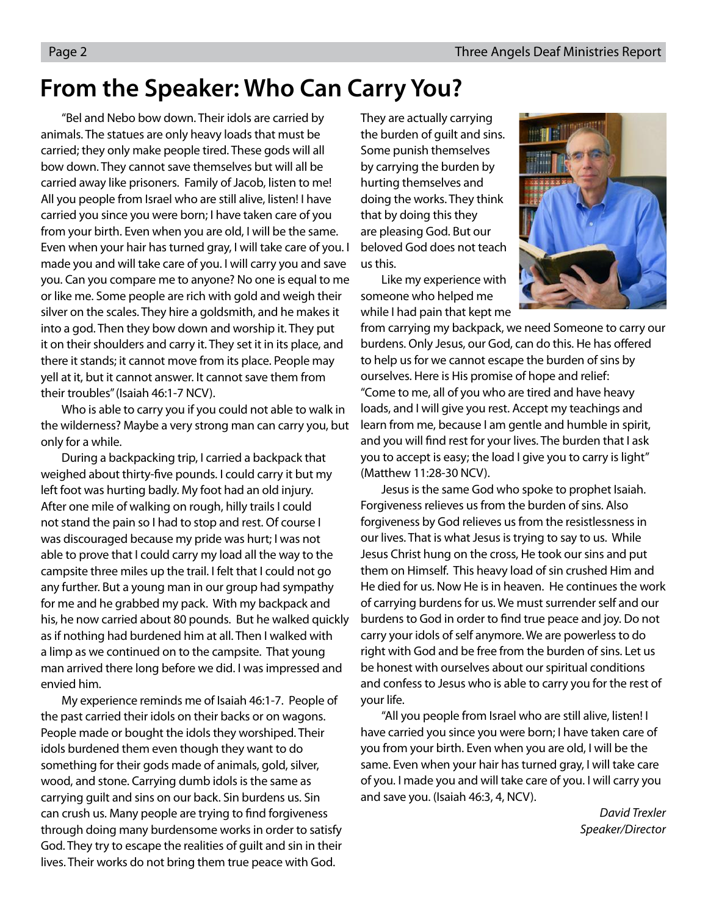## **From the Speaker: Who Can Carry You?**

 "Bel and Nebo bow down. Their idols are carried by animals. The statues are only heavy loads that must be carried; they only make people tired. These gods will all bow down. They cannot save themselves but will all be carried away like prisoners. Family of Jacob, listen to me! All you people from Israel who are still alive, listen! I have carried you since you were born; I have taken care of you from your birth. Even when you are old, I will be the same. Even when your hair has turned gray, I will take care of you. I made you and will take care of you. I will carry you and save you. Can you compare me to anyone? No one is equal to me or like me. Some people are rich with gold and weigh their silver on the scales. They hire a goldsmith, and he makes it into a god. Then they bow down and worship it. They put it on their shoulders and carry it. They set it in its place, and there it stands; it cannot move from its place. People may yell at it, but it cannot answer. It cannot save them from their troubles" (Isaiah 46:1-7 NCV).

 Who is able to carry you if you could not able to walk in the wilderness? Maybe a very strong man can carry you, but only for a while.

 During a backpacking trip, I carried a backpack that weighed about thirty-five pounds. I could carry it but my left foot was hurting badly. My foot had an old injury. After one mile of walking on rough, hilly trails I could not stand the pain so I had to stop and rest. Of course I was discouraged because my pride was hurt; I was not able to prove that I could carry my load all the way to the campsite three miles up the trail. I felt that I could not go any further. But a young man in our group had sympathy for me and he grabbed my pack. With my backpack and his, he now carried about 80 pounds. But he walked quickly as if nothing had burdened him at all. Then I walked with a limp as we continued on to the campsite. That young man arrived there long before we did. I was impressed and envied him.

 My experience reminds me of Isaiah 46:1-7. People of the past carried their idols on their backs or on wagons. People made or bought the idols they worshiped. Their idols burdened them even though they want to do something for their gods made of animals, gold, silver, wood, and stone. Carrying dumb idols is the same as carrying guilt and sins on our back. Sin burdens us. Sin can crush us. Many people are trying to find forgiveness through doing many burdensome works in order to satisfy God. They try to escape the realities of guilt and sin in their lives. Their works do not bring them true peace with God.

They are actually carrying the burden of guilt and sins. Some punish themselves by carrying the burden by hurting themselves and doing the works. They think that by doing this they are pleasing God. But our beloved God does not teach us this.

 Like my experience with someone who helped me while I had pain that kept me



from carrying my backpack, we need Someone to carry our burdens. Only Jesus, our God, can do this. He has offered to help us for we cannot escape the burden of sins by ourselves. Here is His promise of hope and relief: "Come to me, all of you who are tired and have heavy loads, and I will give you rest. Accept my teachings and learn from me, because I am gentle and humble in spirit, and you will find rest for your lives. The burden that I ask you to accept is easy; the load I give you to carry is light" (Matthew 11:28-30 NCV).

 Jesus is the same God who spoke to prophet Isaiah. Forgiveness relieves us from the burden of sins. Also forgiveness by God relieves us from the resistlessness in our lives. That is what Jesus is trying to say to us. While Jesus Christ hung on the cross, He took our sins and put them on Himself. This heavy load of sin crushed Him and He died for us. Now He is in heaven. He continues the work of carrying burdens for us. We must surrender self and our burdens to God in order to find true peace and joy. Do not carry your idols of self anymore. We are powerless to do right with God and be free from the burden of sins. Let us be honest with ourselves about our spiritual conditions and confess to Jesus who is able to carry you for the rest of your life.

 "All you people from Israel who are still alive, listen! I have carried you since you were born; I have taken care of you from your birth. Even when you are old, I will be the same. Even when your hair has turned gray, I will take care of you. I made you and will take care of you. I will carry you and save you. (Isaiah 46:3, 4, NCV).

> David Trexler Speaker/Director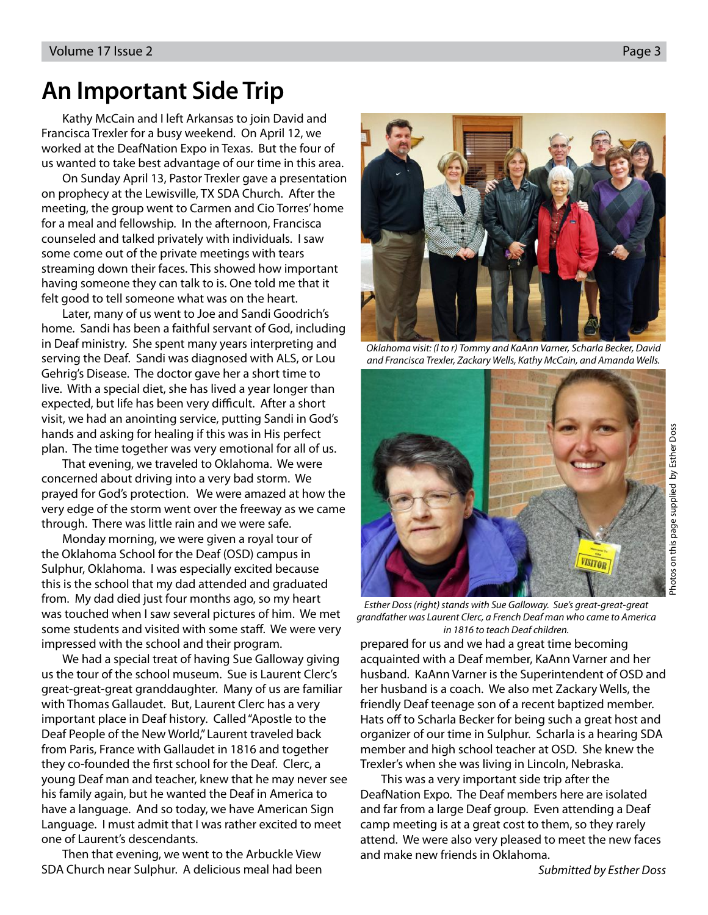## **An Important Side Trip**

 Kathy McCain and I left Arkansas to join David and Francisca Trexler for a busy weekend. On April 12, we worked at the DeafNation Expo in Texas. But the four of us wanted to take best advantage of our time in this area.

 On Sunday April 13, Pastor Trexler gave a presentation on prophecy at the Lewisville, TX SDA Church. After the meeting, the group went to Carmen and Cio Torres' home for a meal and fellowship. In the afternoon, Francisca counseled and talked privately with individuals. I saw some come out of the private meetings with tears streaming down their faces. This showed how important having someone they can talk to is. One told me that it felt good to tell someone what was on the heart.

Later, many of us went to Joe and Sandi Goodrich's home. Sandi has been a faithful servant of God, including in Deaf ministry. She spent many years interpreting and serving the Deaf. Sandi was diagnosed with ALS, or Lou Gehrig's Disease. The doctor gave her a short time to live. With a special diet, she has lived a year longer than expected, but life has been very difficult. After a short visit, we had an anointing service, putting Sandi in God's hands and asking for healing if this was in His perfect plan. The time together was very emotional for all of us.

That evening, we traveled to Oklahoma. We were concerned about driving into a very bad storm. We prayed for God's protection. We were amazed at how the very edge of the storm went over the freeway as we came through. There was little rain and we were safe.

Monday morning, we were given a royal tour of the Oklahoma School for the Deaf (OSD) campus in Sulphur, Oklahoma. I was especially excited because this is the school that my dad attended and graduated from. My dad died just four months ago, so my heart was touched when I saw several pictures of him. We met some students and visited with some staff. We were very impressed with the school and their program.

We had a special treat of having Sue Galloway giving us the tour of the school museum. Sue is Laurent Clerc's great-great-great granddaughter. Many of us are familiar with Thomas Gallaudet. But, Laurent Clerc has a very important place in Deaf history. Called "Apostle to the Deaf People of the New World," Laurent traveled back from Paris, France with Gallaudet in 1816 and together they co-founded the first school for the Deaf. Clerc, a young Deaf man and teacher, knew that he may never see his family again, but he wanted the Deaf in America to have a language. And so today, we have American Sign Language. I must admit that I was rather excited to meet one of Laurent's descendants.

Then that evening, we went to the Arbuckle View SDA Church near Sulphur. A delicious meal had been



Oklahoma visit: (l to r) Tommy and KaAnn Varner, Scharla Becker, David and Francisca Trexler, Zackary Wells, Kathy McCain, and Amanda Wells.



Esther Doss (right) stands with Sue Galloway. Sue's great-great-great grandfather was Laurent Clerc, a French Deaf man who came to America in 1816 to teach Deaf children.

prepared for us and we had a great time becoming acquainted with a Deaf member, KaAnn Varner and her husband. KaAnn Varner is the Superintendent of OSD and her husband is a coach. We also met Zackary Wells, the friendly Deaf teenage son of a recent baptized member. Hats off to Scharla Becker for being such a great host and organizer of our time in Sulphur. Scharla is a hearing SDA member and high school teacher at OSD. She knew the Trexler's when she was living in Lincoln, Nebraska.

This was a very important side trip after the DeafNation Expo. The Deaf members here are isolated and far from a large Deaf group. Even attending a Deaf camp meeting is at a great cost to them, so they rarely attend. We were also very pleased to meet the new faces and make new friends in Oklahoma.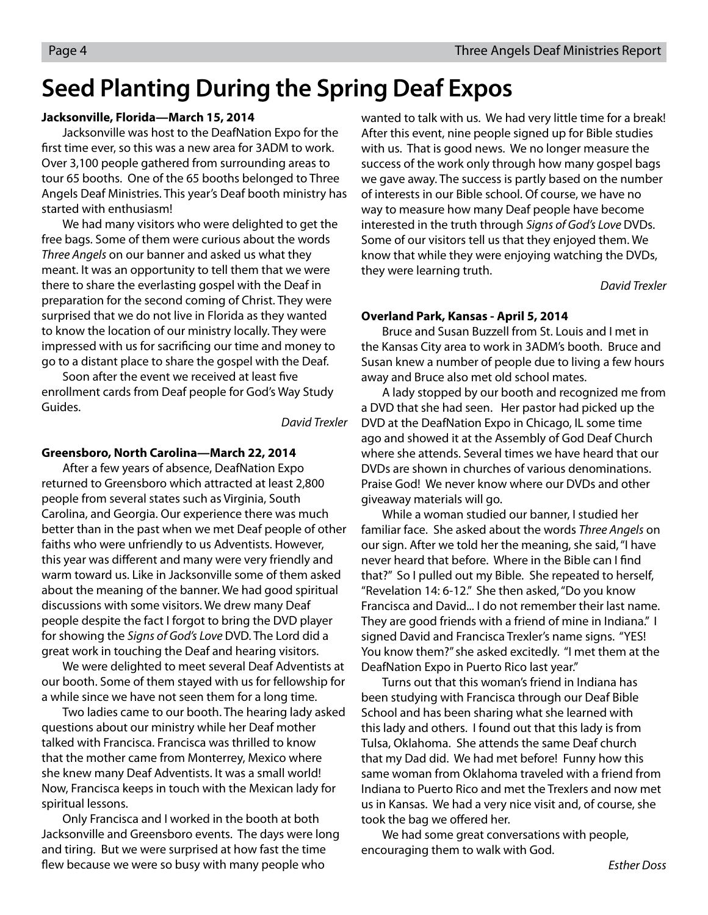## **Seed Planting During the Spring Deaf Expos**

#### **Jacksonville, Florida—March 15, 2014**

Jacksonville was host to the DeafNation Expo for the first time ever, so this was a new area for 3ADM to work. Over 3,100 people gathered from surrounding areas to tour 65 booths. One of the 65 booths belonged to Three Angels Deaf Ministries. This year's Deaf booth ministry has started with enthusiasm!

We had many visitors who were delighted to get the free bags. Some of them were curious about the words Three Angels on our banner and asked us what they meant. It was an opportunity to tell them that we were there to share the everlasting gospel with the Deaf in preparation for the second coming of Christ. They were surprised that we do not live in Florida as they wanted to know the location of our ministry locally. They were impressed with us for sacrificing our time and money to go to a distant place to share the gospel with the Deaf.

Soon after the event we received at least five enrollment cards from Deaf people for God's Way Study Guides.

David Trexler

#### **Greensboro, North Carolina—March 22, 2014**

After a few years of absence, DeafNation Expo returned to Greensboro which attracted at least 2,800 people from several states such as Virginia, South Carolina, and Georgia. Our experience there was much better than in the past when we met Deaf people of other faiths who were unfriendly to us Adventists. However, this year was different and many were very friendly and warm toward us. Like in Jacksonville some of them asked about the meaning of the banner. We had good spiritual discussions with some visitors. We drew many Deaf people despite the fact I forgot to bring the DVD player for showing the Signs of God's Love DVD. The Lord did a great work in touching the Deaf and hearing visitors.

We were delighted to meet several Deaf Adventists at our booth. Some of them stayed with us for fellowship for a while since we have not seen them for a long time.

Two ladies came to our booth. The hearing lady asked questions about our ministry while her Deaf mother talked with Francisca. Francisca was thrilled to know that the mother came from Monterrey, Mexico where she knew many Deaf Adventists. It was a small world! Now, Francisca keeps in touch with the Mexican lady for spiritual lessons.

Only Francisca and I worked in the booth at both Jacksonville and Greensboro events. The days were long and tiring. But we were surprised at how fast the time flew because we were so busy with many people who

wanted to talk with us. We had very little time for a break! After this event, nine people signed up for Bible studies with us. That is good news. We no longer measure the success of the work only through how many gospel bags we gave away. The success is partly based on the number of interests in our Bible school. Of course, we have no way to measure how many Deaf people have become interested in the truth through Signs of God's Love DVDs. Some of our visitors tell us that they enjoyed them. We know that while they were enjoying watching the DVDs, they were learning truth.

David Trexler

#### **Overland Park, Kansas - April 5, 2014**

Bruce and Susan Buzzell from St. Louis and I met in the Kansas City area to work in 3ADM's booth. Bruce and Susan knew a number of people due to living a few hours away and Bruce also met old school mates.

A lady stopped by our booth and recognized me from a DVD that she had seen. Her pastor had picked up the DVD at the DeafNation Expo in Chicago, IL some time ago and showed it at the Assembly of God Deaf Church where she attends. Several times we have heard that our DVDs are shown in churches of various denominations. Praise God! We never know where our DVDs and other giveaway materials will go.

While a woman studied our banner, I studied her familiar face. She asked about the words Three Angels on our sign. After we told her the meaning, she said, "I have never heard that before. Where in the Bible can I find that?" So I pulled out my Bible. She repeated to herself, "Revelation 14: 6-12." She then asked, "Do you know Francisca and David... I do not remember their last name. They are good friends with a friend of mine in Indiana." I signed David and Francisca Trexler's name signs. "YES! You know them?" she asked excitedly. "I met them at the DeafNation Expo in Puerto Rico last year."

Turns out that this woman's friend in Indiana has been studying with Francisca through our Deaf Bible School and has been sharing what she learned with this lady and others. I found out that this lady is from Tulsa, Oklahoma. She attends the same Deaf church that my Dad did. We had met before! Funny how this same woman from Oklahoma traveled with a friend from Indiana to Puerto Rico and met the Trexlers and now met us in Kansas. We had a very nice visit and, of course, she took the bag we offered her.

We had some great conversations with people, encouraging them to walk with God.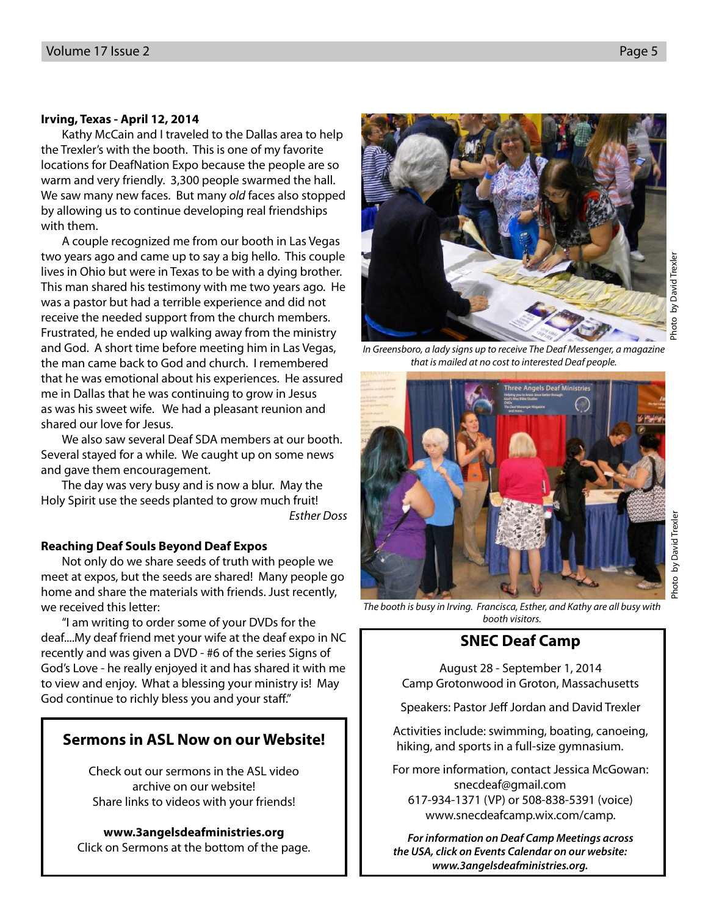#### **Irving, Texas - April 12, 2014**

Kathy McCain and I traveled to the Dallas area to help the Trexler's with the booth. This is one of my favorite locations for DeafNation Expo because the people are so warm and very friendly. 3,300 people swarmed the hall. We saw many new faces. But many old faces also stopped by allowing us to continue developing real friendships with them.

A couple recognized me from our booth in Las Vegas two years ago and came up to say a big hello. This couple lives in Ohio but were in Texas to be with a dying brother. This man shared his testimony with me two years ago. He was a pastor but had a terrible experience and did not receive the needed support from the church members. Frustrated, he ended up walking away from the ministry and God. A short time before meeting him in Las Vegas, the man came back to God and church. I remembered that he was emotional about his experiences. He assured me in Dallas that he was continuing to grow in Jesus as was his sweet wife. We had a pleasant reunion and shared our love for Jesus.

We also saw several Deaf SDA members at our booth. Several stayed for a while. We caught up on some news and gave them encouragement.

The day was very busy and is now a blur. May the Holy Spirit use the seeds planted to grow much fruit! Esther Doss

#### **Reaching Deaf Souls Beyond Deaf Expos**

Not only do we share seeds of truth with people we meet at expos, but the seeds are shared! Many people go home and share the materials with friends. Just recently, we received this letter:

"I am writing to order some of your DVDs for the deaf....My deaf friend met your wife at the deaf expo in NC recently and was given a DVD - #6 of the series Signs of God's Love - he really enjoyed it and has shared it with me to view and enjoy. What a blessing your ministry is! May God continue to richly bless you and your staff."

### **Sermons in ASL Now on our Website!**

Check out our sermons in the ASL video archive on our website! Share links to videos with your friends!

**www.3angelsdeafministries.org** Click on Sermons at the bottom of the page.

In Greensboro, a lady signs up to receive The Deaf Messenger, a magazine

www.snecdeafcamp.wix.com/camp. **For information on Deaf Camp Meetings across the USA, click on Events Calendar on our website:** 

**www.3angelsdeafministries.org.**

The booth is busy in Irving. Francisca, Esther, and Kathy are all busy with

Photo by David Trexler

Photo by David Trexle

that is mailed at no cost to interested Deaf people.



booth visitors.

**SNEC Deaf Camp**

August 28 - September 1, 2014 Camp Grotonwood in Groton, Massachusetts

Speakers: Pastor Jeff Jordan and David Trexler

Activities include: swimming, boating, canoeing, hiking, and sports in a full-size gymnasium.

For more information, contact Jessica McGowan: snecdeaf@gmail.com 617-934-1371 (VP) or 508-838-5391 (voice)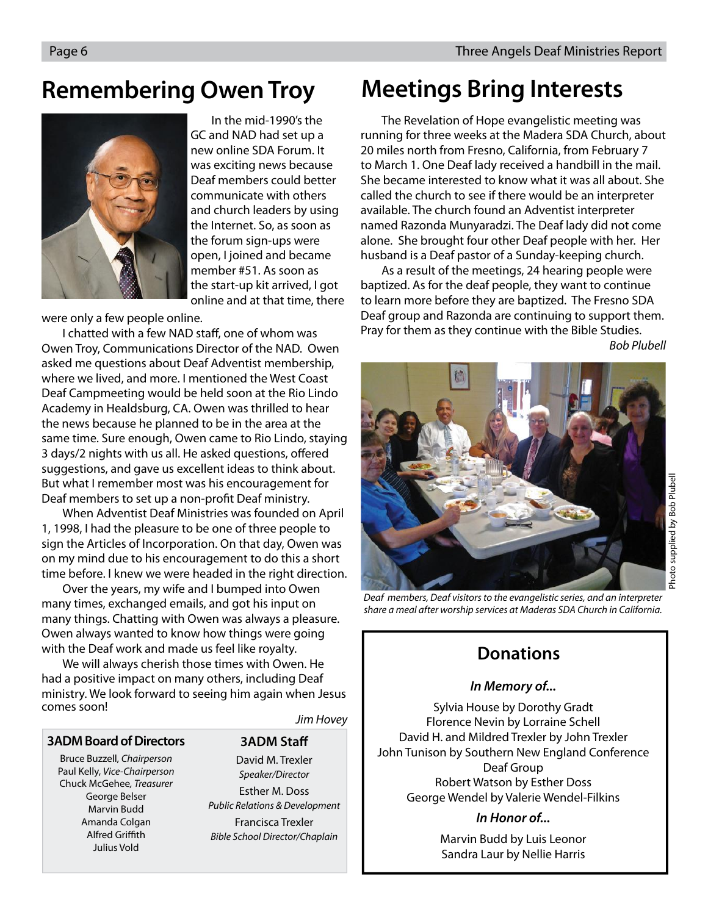### **Remembering Owen Troy Meetings Bring Interests**

In the mid-1990's the GC and NAD had set up a new online SDA Forum. It was exciting news because Deaf members could better communicate with others and church leaders by using the Internet. So, as soon as the forum sign-ups were open, I joined and became member #51. As soon as the start-up kit arrived, I got online and at that time, there

were only a few people online.

I chatted with a few NAD staff, one of whom was Owen Troy, Communications Director of the NAD. Owen asked me questions about Deaf Adventist membership, where we lived, and more. I mentioned the West Coast Deaf Campmeeting would be held soon at the Rio Lindo Academy in Healdsburg, CA. Owen was thrilled to hear the news because he planned to be in the area at the same time. Sure enough, Owen came to Rio Lindo, staying 3 days/2 nights with us all. He asked questions, offered suggestions, and gave us excellent ideas to think about. But what I remember most was his encouragement for Deaf members to set up a non-profit Deaf ministry.

When Adventist Deaf Ministries was founded on April 1, 1998, I had the pleasure to be one of three people to sign the Articles of Incorporation. On that day, Owen was on my mind due to his encouragement to do this a short time before. I knew we were headed in the right direction.

Over the years, my wife and I bumped into Owen many times, exchanged emails, and got his input on many things. Chatting with Owen was always a pleasure. Owen always wanted to know how things were going with the Deaf work and made us feel like royalty.

We will always cherish those times with Owen. He had a positive impact on many others, including Deaf ministry. We look forward to seeing him again when Jesus comes soon!

#### **3ADM Board of Directors**

Bruce Buzzell, Chairperson Paul Kelly, Vice-Chairperson Chuck McGehee, Treasurer George Belser Marvin Budd Amanda Colgan Alfred Griffith Julius Vold

**3ADM Staff** 

Jim Hovey

David M. Trexler Speaker/Director Esther M. Doss Public Relations & Development Francisca Trexler Bible School Director/Chaplain

The Revelation of Hope evangelistic meeting was running for three weeks at the Madera SDA Church, about 20 miles north from Fresno, California, from February 7 to March 1. One Deaf lady received a handbill in the mail. She became interested to know what it was all about. She called the church to see if there would be an interpreter available. The church found an Adventist interpreter named Razonda Munyaradzi. The Deaf lady did not come alone. She brought four other Deaf people with her. Her husband is a Deaf pastor of a Sunday-keeping church.

As a result of the meetings, 24 hearing people were baptized. As for the deaf people, they want to continue to learn more before they are baptized. The Fresno SDA Deaf group and Razonda are continuing to support them. Pray for them as they continue with the Bible Studies.

Bob Plubell



Deaf members, Deaf visitors to the evangelistic series, and an interpreter share a meal after worship services at Maderas SDA Church in California.

### **Donations**

#### **In Memory of...**

Sylvia House by Dorothy Gradt Florence Nevin by Lorraine Schell David H. and Mildred Trexler by John Trexler John Tunison by Southern New England Conference Deaf Group Robert Watson by Esther Doss George Wendel by Valerie Wendel-Filkins

#### **In Honor of...**

Marvin Budd by Luis Leonor Sandra Laur by Nellie Harris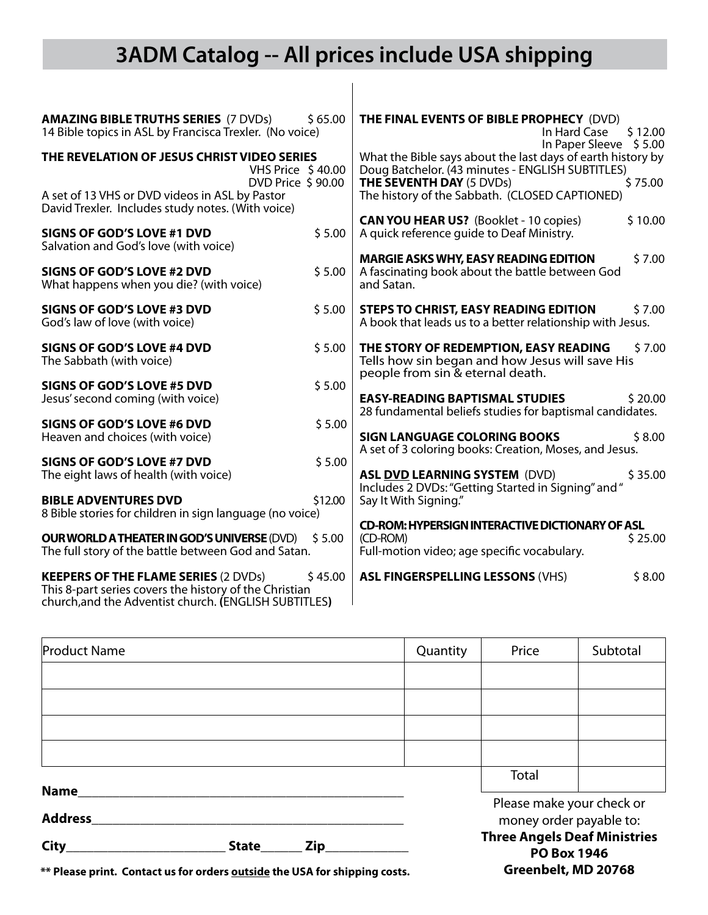## **3ADM Catalog -- All prices include USA shipping**

 $\overline{\phantom{a}}$ 

| <b>AMAZING BIBLE TRUTHS SERIES (7 DVDs)</b><br>\$65.00<br>14 Bible topics in ASL by Francisca Trexler. (No voice)                                                         | THE FINAL EVENTS OF BIBLE PROPHECY (DVD)<br>\$12.00<br>In Hard Case<br>In Paper Sleeve \$5.00                                                                 |
|---------------------------------------------------------------------------------------------------------------------------------------------------------------------------|---------------------------------------------------------------------------------------------------------------------------------------------------------------|
| THE REVELATION OF JESUS CHRIST VIDEO SERIES<br><b>VHS Price \$40.00</b><br>DVD Price \$90.00                                                                              | What the Bible says about the last days of earth history by<br>Doug Batchelor. (43 minutes - ENGLISH SUBTITLES)<br><b>THE SEVENTH DAY (5 DVDs)</b><br>\$75.00 |
| A set of 13 VHS or DVD videos in ASL by Pastor<br>David Trexler. Includes study notes. (With voice)                                                                       | The history of the Sabbath. (CLOSED CAPTIONED)                                                                                                                |
| \$5.00<br><b>SIGNS OF GOD'S LOVE #1 DVD</b><br>Salvation and God's love (with voice)                                                                                      | <b>CAN YOU HEAR US?</b> (Booklet - 10 copies)<br>\$10.00<br>A quick reference quide to Deaf Ministry.                                                         |
| \$5.00<br><b>SIGNS OF GOD'S LOVE #2 DVD</b><br>What happens when you die? (with voice)                                                                                    | <b>MARGIE ASKS WHY, EASY READING EDITION</b><br>\$7.00<br>A fascinating book about the battle between God<br>and Satan.                                       |
| <b>SIGNS OF GOD'S LOVE #3 DVD</b><br>\$5.00<br>God's law of love (with voice)                                                                                             | <b>STEPS TO CHRIST, EASY READING EDITION</b><br>\$7.00<br>A book that leads us to a better relationship with Jesus.                                           |
| <b>SIGNS OF GOD'S LOVE #4 DVD</b><br>\$5.00<br>The Sabbath (with voice)                                                                                                   | THE STORY OF REDEMPTION, EASY READING<br>\$7.00<br>Tells how sin began and how Jesus will save His<br>people from sin & eternal death.                        |
| \$5.00<br>SIGNS OF GOD'S LOVE #5 DVD<br>Jesus' second coming (with voice)                                                                                                 | <b>EASY-READING BAPTISMAL STUDIES</b><br>\$20.00<br>28 fundamental beliefs studies for baptismal candidates.                                                  |
| \$5.00<br>SIGNS OF GOD'S LOVE #6 DVD<br>Heaven and choices (with voice)                                                                                                   | <b>SIGN LANGUAGE COLORING BOOKS</b><br>\$8.00<br>A set of 3 coloring books: Creation, Moses, and Jesus.                                                       |
| \$5.00<br>SIGNS OF GOD'S LOVE #7 DVD<br>The eight laws of health (with voice)                                                                                             | \$35.00<br><b>ASL DVD LEARNING SYSTEM (DVD)</b><br>Includes 2 DVDs: "Getting Started in Signing" and "                                                        |
| <b>BIBLE ADVENTURES DVD</b><br>\$12.00<br>8 Bible stories for children in sign language (no voice)                                                                        | Say It With Signing."                                                                                                                                         |
| <b>OUR WORLD A THEATER IN GOD'S UNIVERSE (DVD)</b><br>\$5.00<br>The full story of the battle between God and Satan.                                                       | <b>CD-ROM: HYPERSIGN INTERACTIVE DICTIONARY OF ASL</b><br>(CD-ROM)<br>\$25.00<br>Full-motion video; age specific vocabulary.                                  |
| <b>KEEPERS OF THE FLAME SERIES (2 DVDs)</b><br>\$45.00<br>This 8-part series covers the history of the Christian<br>church, and the Adventist church. (ENGLISH SUBTITLES) | <b>ASL FINGERSPELLING LESSONS (VHS)</b><br>\$8.00                                                                                                             |

| <b>Product Name</b>           |  |  | Quantity                                                  | Price                                                | Subtotal |  |
|-------------------------------|--|--|-----------------------------------------------------------|------------------------------------------------------|----------|--|
|                               |  |  |                                                           |                                                      |          |  |
|                               |  |  |                                                           |                                                      |          |  |
|                               |  |  |                                                           |                                                      |          |  |
|                               |  |  |                                                           |                                                      |          |  |
|                               |  |  |                                                           | Total                                                |          |  |
| <b>Name</b><br><b>Address</b> |  |  |                                                           | Please make your check or<br>money order payable to: |          |  |
| City<br>Zip<br><b>State</b>   |  |  | <b>Three Angels Deaf Ministries</b><br><b>PO Box 1946</b> |                                                      |          |  |

**Greenbelt, MD 20768**

**\*\* Please print. Contact us for orders outside the USA for shipping costs.**